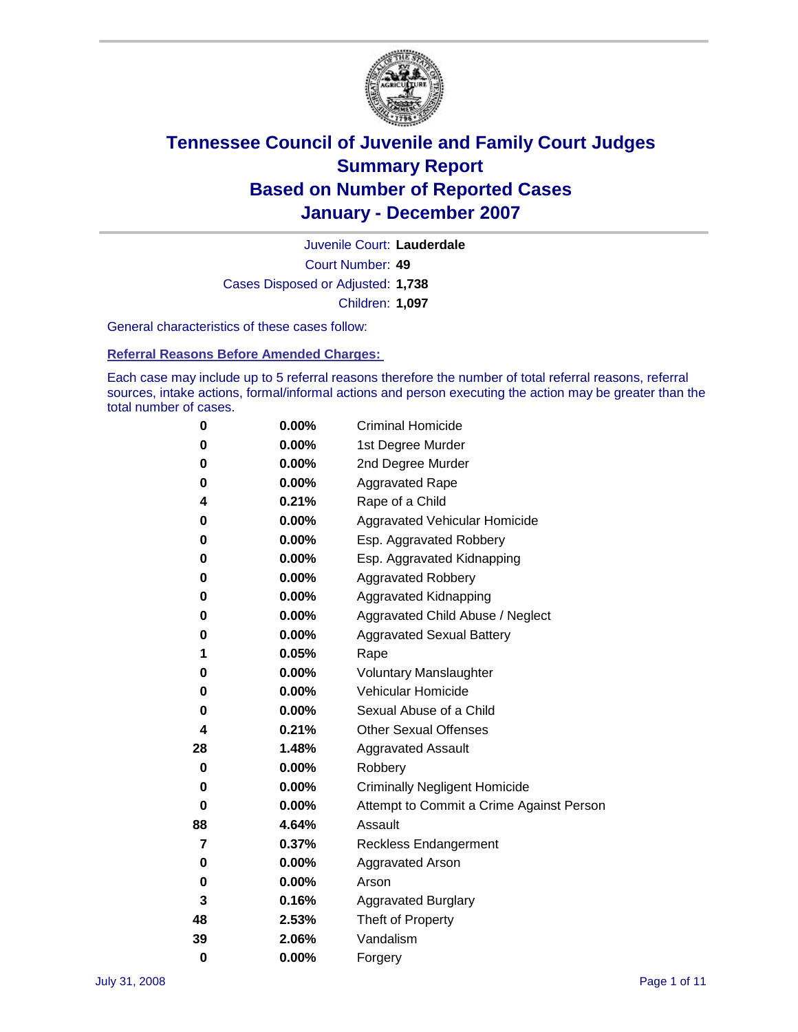

Court Number: **49** Juvenile Court: **Lauderdale** Cases Disposed or Adjusted: **1,738** Children: **1,097**

General characteristics of these cases follow:

**Referral Reasons Before Amended Charges:** 

Each case may include up to 5 referral reasons therefore the number of total referral reasons, referral sources, intake actions, formal/informal actions and person executing the action may be greater than the total number of cases.

| 0  | 0.00%    | <b>Criminal Homicide</b>                 |  |  |
|----|----------|------------------------------------------|--|--|
| 0  | 0.00%    | 1st Degree Murder                        |  |  |
| 0  | $0.00\%$ | 2nd Degree Murder                        |  |  |
| 0  | 0.00%    | <b>Aggravated Rape</b>                   |  |  |
| 4  | 0.21%    | Rape of a Child                          |  |  |
| 0  | 0.00%    | Aggravated Vehicular Homicide            |  |  |
| 0  | 0.00%    | Esp. Aggravated Robbery                  |  |  |
| 0  | 0.00%    | Esp. Aggravated Kidnapping               |  |  |
| 0  | 0.00%    | <b>Aggravated Robbery</b>                |  |  |
| 0  | $0.00\%$ | Aggravated Kidnapping                    |  |  |
| 0  | 0.00%    | Aggravated Child Abuse / Neglect         |  |  |
| 0  | $0.00\%$ | <b>Aggravated Sexual Battery</b>         |  |  |
| 1  | 0.05%    | Rape                                     |  |  |
| 0  | 0.00%    | <b>Voluntary Manslaughter</b>            |  |  |
| 0  | 0.00%    | Vehicular Homicide                       |  |  |
| 0  | 0.00%    | Sexual Abuse of a Child                  |  |  |
| 4  | 0.21%    | <b>Other Sexual Offenses</b>             |  |  |
| 28 | 1.48%    | <b>Aggravated Assault</b>                |  |  |
| 0  | $0.00\%$ | Robbery                                  |  |  |
| 0  | 0.00%    | <b>Criminally Negligent Homicide</b>     |  |  |
| 0  | 0.00%    | Attempt to Commit a Crime Against Person |  |  |
| 88 | 4.64%    | Assault                                  |  |  |
| 7  | 0.37%    | <b>Reckless Endangerment</b>             |  |  |
| 0  | 0.00%    | <b>Aggravated Arson</b>                  |  |  |
| 0  | 0.00%    | Arson                                    |  |  |
| 3  | 0.16%    | <b>Aggravated Burglary</b>               |  |  |
| 48 | 2.53%    | Theft of Property                        |  |  |
| 39 | 2.06%    | Vandalism                                |  |  |
| 0  | 0.00%    | Forgery                                  |  |  |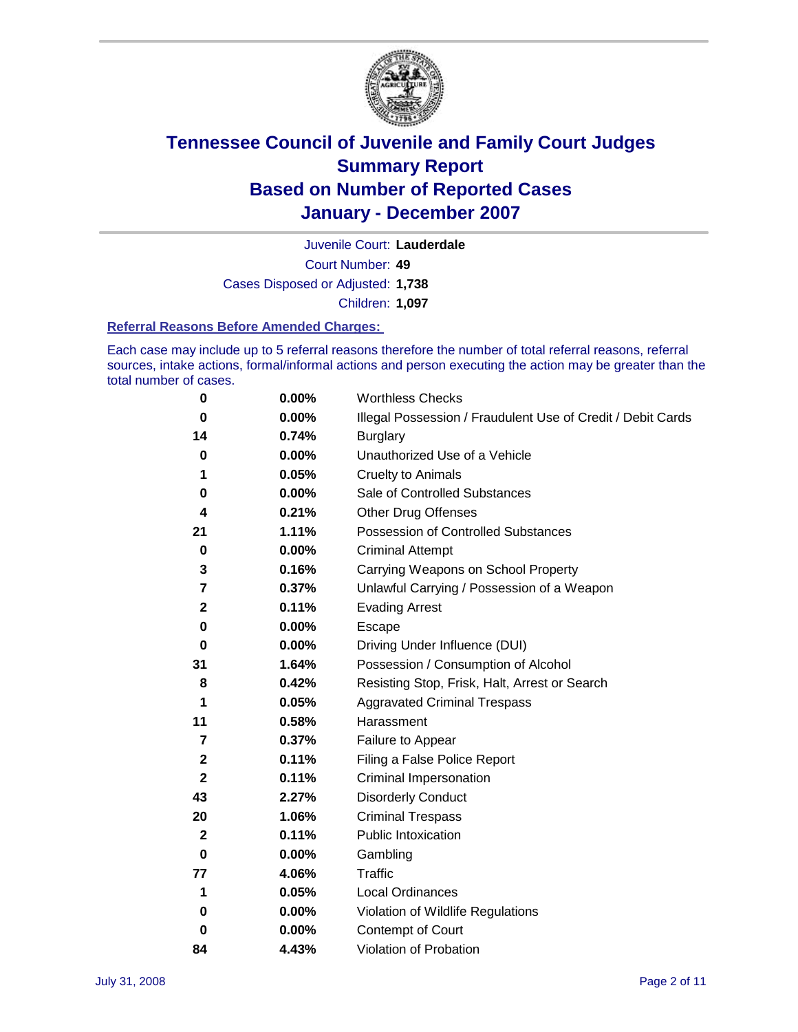

Court Number: **49** Juvenile Court: **Lauderdale** Cases Disposed or Adjusted: **1,738** Children: **1,097**

#### **Referral Reasons Before Amended Charges:**

Each case may include up to 5 referral reasons therefore the number of total referral reasons, referral sources, intake actions, formal/informal actions and person executing the action may be greater than the total number of cases.

| 0                       | 0.00%    | <b>Worthless Checks</b>                                     |
|-------------------------|----------|-------------------------------------------------------------|
| 0                       | 0.00%    | Illegal Possession / Fraudulent Use of Credit / Debit Cards |
| 14                      | 0.74%    | <b>Burglary</b>                                             |
| 0                       | 0.00%    | Unauthorized Use of a Vehicle                               |
| 1                       | 0.05%    | <b>Cruelty to Animals</b>                                   |
| 0                       | 0.00%    | Sale of Controlled Substances                               |
| 4                       | 0.21%    | <b>Other Drug Offenses</b>                                  |
| 21                      | 1.11%    | <b>Possession of Controlled Substances</b>                  |
| 0                       | 0.00%    | <b>Criminal Attempt</b>                                     |
| 3                       | 0.16%    | Carrying Weapons on School Property                         |
| 7                       | 0.37%    | Unlawful Carrying / Possession of a Weapon                  |
| $\mathbf 2$             | 0.11%    | <b>Evading Arrest</b>                                       |
| 0                       | 0.00%    | Escape                                                      |
| 0                       | 0.00%    | Driving Under Influence (DUI)                               |
| 31                      | 1.64%    | Possession / Consumption of Alcohol                         |
| 8                       | 0.42%    | Resisting Stop, Frisk, Halt, Arrest or Search               |
| 1                       | 0.05%    | <b>Aggravated Criminal Trespass</b>                         |
| 11                      | 0.58%    | Harassment                                                  |
| $\overline{\mathbf{z}}$ | 0.37%    | Failure to Appear                                           |
| $\mathbf 2$             | 0.11%    | Filing a False Police Report                                |
| $\mathbf{2}$            | 0.11%    | Criminal Impersonation                                      |
| 43                      | 2.27%    | <b>Disorderly Conduct</b>                                   |
| 20                      | 1.06%    | <b>Criminal Trespass</b>                                    |
| $\mathbf{2}$            | 0.11%    | <b>Public Intoxication</b>                                  |
| 0                       | 0.00%    | Gambling                                                    |
| 77                      | 4.06%    | Traffic                                                     |
| 1                       | 0.05%    | Local Ordinances                                            |
| 0                       | $0.00\%$ | Violation of Wildlife Regulations                           |
| 0                       | 0.00%    | Contempt of Court                                           |
| 84                      | 4.43%    | Violation of Probation                                      |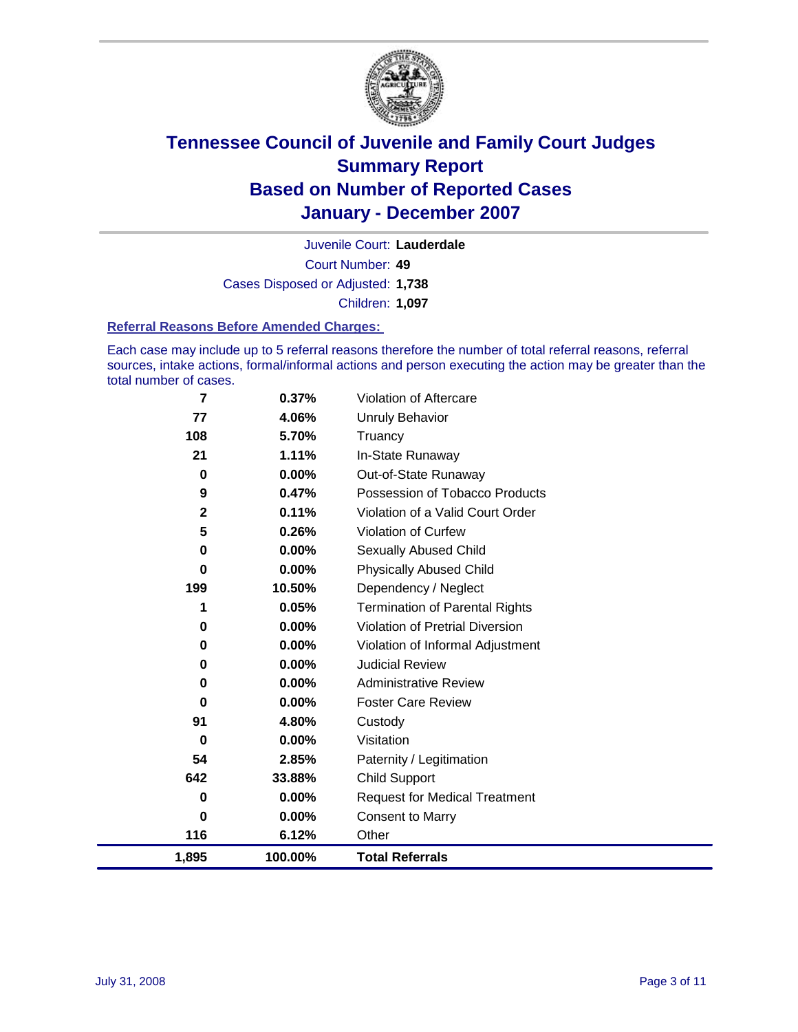

Court Number: **49** Juvenile Court: **Lauderdale** Cases Disposed or Adjusted: **1,738** Children: **1,097**

#### **Referral Reasons Before Amended Charges:**

Each case may include up to 5 referral reasons therefore the number of total referral reasons, referral sources, intake actions, formal/informal actions and person executing the action may be greater than the total number of cases.

| 7           | 0.37%   | Violation of Aftercare                 |
|-------------|---------|----------------------------------------|
| 77          | 4.06%   | Unruly Behavior                        |
| 108         | 5.70%   | Truancy                                |
| 21          | 1.11%   | In-State Runaway                       |
| 0           | 0.00%   | Out-of-State Runaway                   |
| 9           | 0.47%   | Possession of Tobacco Products         |
| $\mathbf 2$ | 0.11%   | Violation of a Valid Court Order       |
| 5           | 0.26%   | Violation of Curfew                    |
| 0           | 0.00%   | Sexually Abused Child                  |
| 0           | 0.00%   | <b>Physically Abused Child</b>         |
| 199         | 10.50%  | Dependency / Neglect                   |
| 1           | 0.05%   | <b>Termination of Parental Rights</b>  |
| 0           | 0.00%   | <b>Violation of Pretrial Diversion</b> |
| 0           | 0.00%   | Violation of Informal Adjustment       |
| 0           | 0.00%   | <b>Judicial Review</b>                 |
| 0           | 0.00%   | <b>Administrative Review</b>           |
| 0           | 0.00%   | <b>Foster Care Review</b>              |
| 91          | 4.80%   | Custody                                |
| 0           | 0.00%   | Visitation                             |
| 54          | 2.85%   | Paternity / Legitimation               |
| 642         | 33.88%  | <b>Child Support</b>                   |
| 0           | 0.00%   | <b>Request for Medical Treatment</b>   |
| 0           | 0.00%   | <b>Consent to Marry</b>                |
| 116         | 6.12%   | Other                                  |
| 1,895       | 100.00% | <b>Total Referrals</b>                 |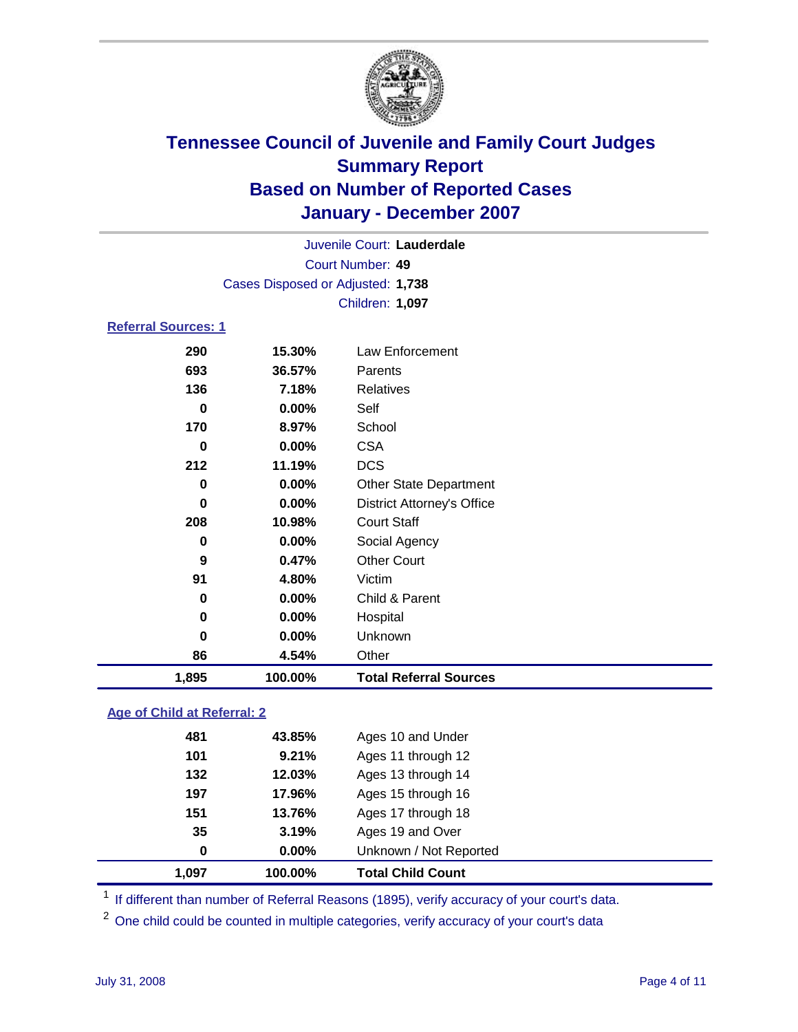

|                                   |          | Juvenile Court: Lauderdale<br>Court Number: 49 |  |  |  |
|-----------------------------------|----------|------------------------------------------------|--|--|--|
| Cases Disposed or Adjusted: 1,738 |          |                                                |  |  |  |
|                                   |          | <b>Children: 1,097</b>                         |  |  |  |
| Referral Sources: 1               |          |                                                |  |  |  |
| 290                               | 15.30%   | Law Enforcement                                |  |  |  |
| 693                               | 36.57%   | Parents                                        |  |  |  |
| 136                               | 7.18%    | Relatives                                      |  |  |  |
| 0                                 | $0.00\%$ | Self                                           |  |  |  |
| 170                               | 8.97%    | School                                         |  |  |  |
| 0                                 | $0.00\%$ | <b>CSA</b>                                     |  |  |  |
| 212                               | 11.19%   | <b>DCS</b>                                     |  |  |  |
| 0                                 | $0.00\%$ | <b>Other State Department</b>                  |  |  |  |
| Û                                 | 0.000/   | District Attornaula Office                     |  |  |  |

| 1,895 | 100.00%  | <b>Total Referral Sources</b>     |  |
|-------|----------|-----------------------------------|--|
| 86    | 4.54%    | Other                             |  |
| 0     | 0.00%    | Unknown                           |  |
| 0     | 0.00%    | Hospital                          |  |
| 0     | 0.00%    | Child & Parent                    |  |
| 91    | 4.80%    | Victim                            |  |
| 9     | 0.47%    | <b>Other Court</b>                |  |
| 0     | 0.00%    | Social Agency                     |  |
| 208   | 10.98%   | <b>Court Staff</b>                |  |
| 0     | $0.00\%$ | <b>District Attorney's Office</b> |  |

#### **Age of Child at Referral: 2**

| 1.097 | 100.00% | <b>Total Child Count</b> |  |
|-------|---------|--------------------------|--|
| 0     | 0.00%   | Unknown / Not Reported   |  |
| 35    | 3.19%   | Ages 19 and Over         |  |
| 151   | 13.76%  | Ages 17 through 18       |  |
| 197   | 17.96%  | Ages 15 through 16       |  |
| 132   | 12.03%  | Ages 13 through 14       |  |
| 101   | 9.21%   | Ages 11 through 12       |  |
| 481   | 43.85%  | Ages 10 and Under        |  |
|       |         |                          |  |

<sup>1</sup> If different than number of Referral Reasons (1895), verify accuracy of your court's data.

One child could be counted in multiple categories, verify accuracy of your court's data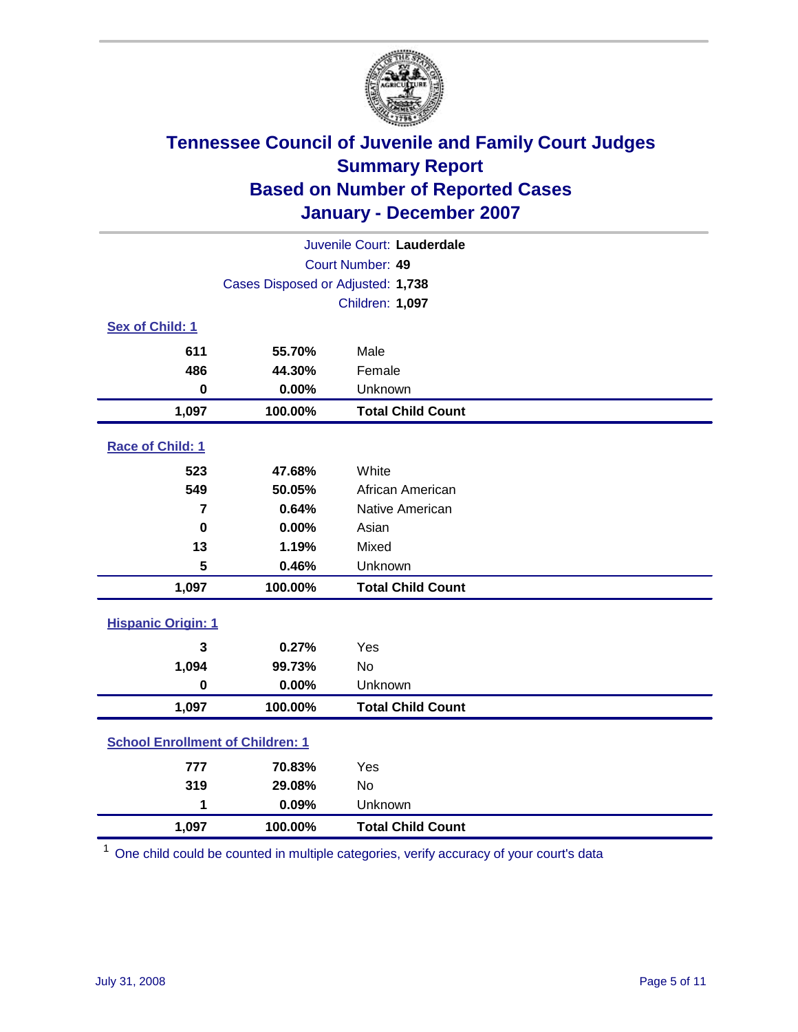

| Juvenile Court: Lauderdale              |                                   |                          |  |  |
|-----------------------------------------|-----------------------------------|--------------------------|--|--|
| <b>Court Number: 49</b>                 |                                   |                          |  |  |
|                                         | Cases Disposed or Adjusted: 1,738 |                          |  |  |
|                                         |                                   | Children: 1,097          |  |  |
| Sex of Child: 1                         |                                   |                          |  |  |
| 611                                     | 55.70%                            | Male                     |  |  |
| 486                                     | 44.30%                            | Female                   |  |  |
| $\bf{0}$                                | 0.00%                             | Unknown                  |  |  |
| 1,097                                   | 100.00%                           | <b>Total Child Count</b> |  |  |
| Race of Child: 1                        |                                   |                          |  |  |
| 523                                     | 47.68%                            | White                    |  |  |
| 549                                     | 50.05%                            | African American         |  |  |
| $\overline{7}$                          | 0.64%                             | Native American          |  |  |
| $\bf{0}$                                | 0.00%                             | Asian                    |  |  |
| 13                                      | 1.19%                             | Mixed                    |  |  |
| 5                                       | 0.46%                             | Unknown                  |  |  |
| 1,097                                   | 100.00%                           | <b>Total Child Count</b> |  |  |
| <b>Hispanic Origin: 1</b>               |                                   |                          |  |  |
| 3                                       | 0.27%                             | Yes                      |  |  |
| 1,094                                   | 99.73%                            | <b>No</b>                |  |  |
| $\mathbf 0$                             | 0.00%                             | Unknown                  |  |  |
| 1,097                                   | 100.00%                           | <b>Total Child Count</b> |  |  |
| <b>School Enrollment of Children: 1</b> |                                   |                          |  |  |
| 777                                     | 70.83%                            | Yes                      |  |  |
| 319                                     | 29.08%                            | No                       |  |  |
| 1                                       | 0.09%                             | Unknown                  |  |  |
| 1,097                                   | 100.00%                           | <b>Total Child Count</b> |  |  |

<sup>1</sup> One child could be counted in multiple categories, verify accuracy of your court's data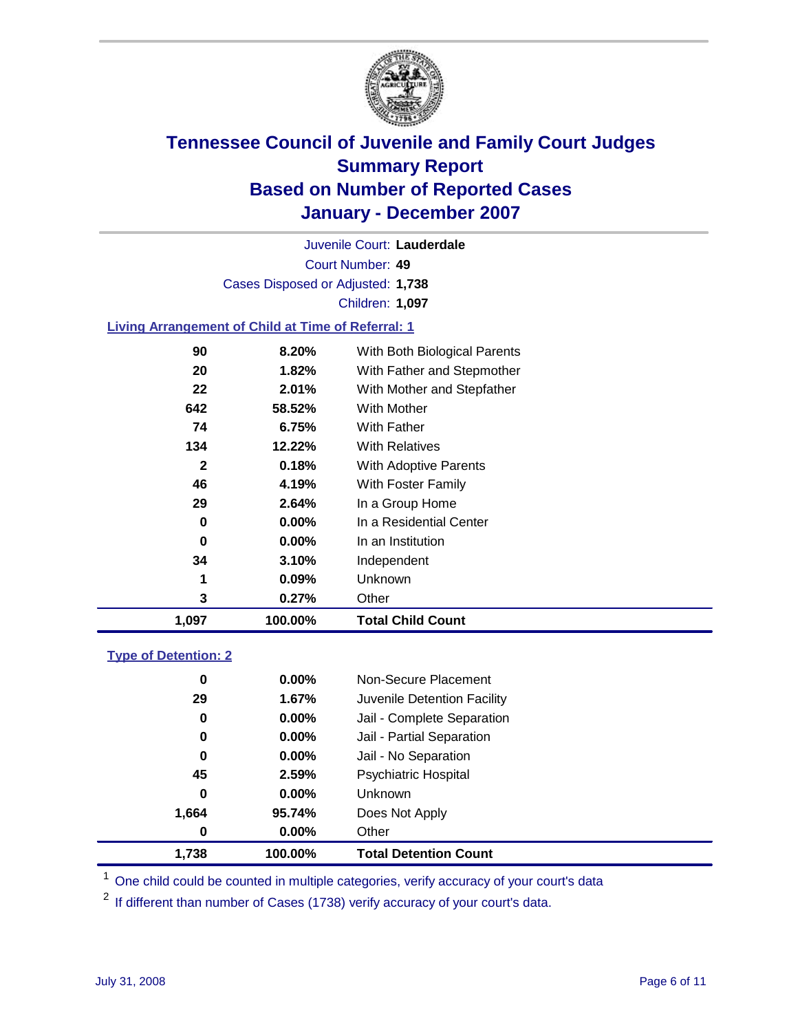

Court Number: **49** Juvenile Court: **Lauderdale** Cases Disposed or Adjusted: **1,738** Children: **1,097**

#### **Living Arrangement of Child at Time of Referral: 1**

| 1,097        | 100.00%  | <b>Total Child Count</b>     |
|--------------|----------|------------------------------|
| 3            | 0.27%    | Other                        |
| 1            | 0.09%    | <b>Unknown</b>               |
| 34           | 3.10%    | Independent                  |
| 0            | $0.00\%$ | In an Institution            |
| 0            | $0.00\%$ | In a Residential Center      |
| 29           | 2.64%    | In a Group Home              |
| 46           | 4.19%    | With Foster Family           |
| $\mathbf{2}$ | 0.18%    | With Adoptive Parents        |
| 134          | 12.22%   | <b>With Relatives</b>        |
| 74           | 6.75%    | With Father                  |
| 642          | 58.52%   | With Mother                  |
| 22           | 2.01%    | With Mother and Stepfather   |
| 20           | 1.82%    | With Father and Stepmother   |
| 90           | 8.20%    | With Both Biological Parents |

#### **Type of Detention: 2**

| 1.738 | 100.00%  | <b>Total Detention Count</b> |
|-------|----------|------------------------------|
| 0     | $0.00\%$ | Other                        |
| 1,664 | 95.74%   | Does Not Apply               |
| 0     | $0.00\%$ | <b>Unknown</b>               |
| 45    | 2.59%    | <b>Psychiatric Hospital</b>  |
| 0     | 0.00%    | Jail - No Separation         |
| 0     | $0.00\%$ | Jail - Partial Separation    |
| 0     | $0.00\%$ | Jail - Complete Separation   |
| 29    | 1.67%    | Juvenile Detention Facility  |
| 0     | $0.00\%$ | Non-Secure Placement         |
|       |          |                              |

<sup>1</sup> One child could be counted in multiple categories, verify accuracy of your court's data

<sup>2</sup> If different than number of Cases (1738) verify accuracy of your court's data.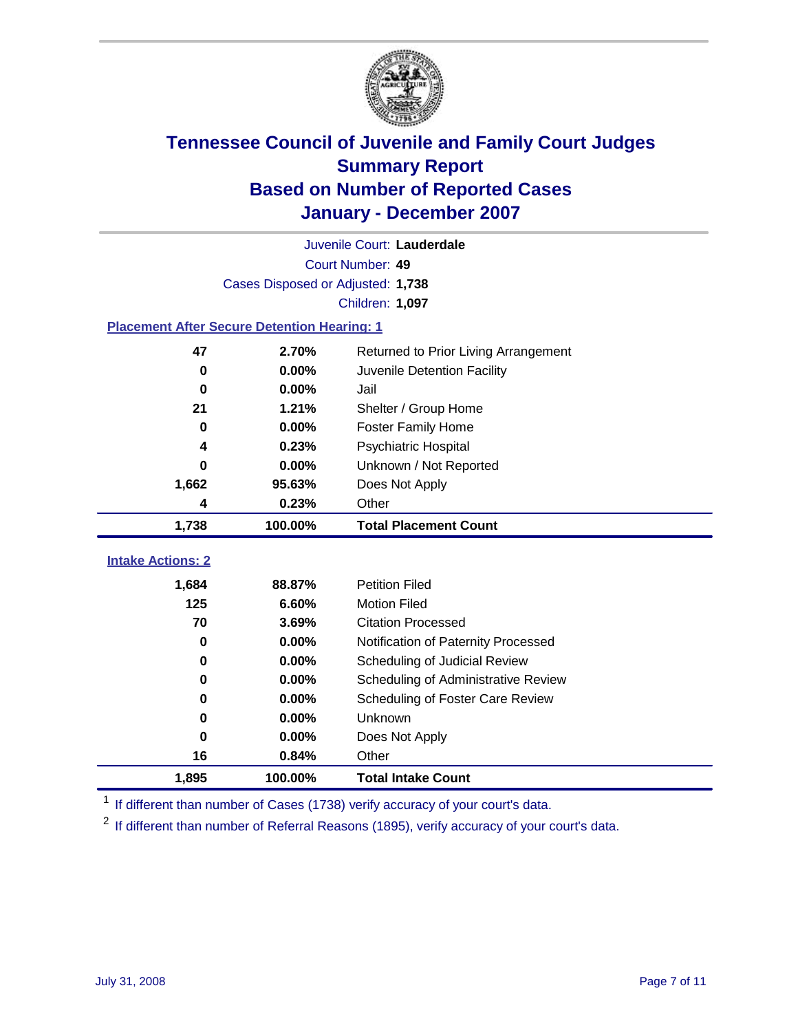

|                                                    | Juvenile Court: Lauderdale        |                                      |  |  |
|----------------------------------------------------|-----------------------------------|--------------------------------------|--|--|
|                                                    | Court Number: 49                  |                                      |  |  |
|                                                    | Cases Disposed or Adjusted: 1,738 |                                      |  |  |
|                                                    |                                   | Children: 1,097                      |  |  |
| <b>Placement After Secure Detention Hearing: 1</b> |                                   |                                      |  |  |
| 47                                                 | 2.70%                             | Returned to Prior Living Arrangement |  |  |
| $\bf{0}$                                           | 0.00%                             | Juvenile Detention Facility          |  |  |
| $\bf{0}$                                           | 0.00%                             | Jail                                 |  |  |
| 21                                                 | 1.21%                             | Shelter / Group Home                 |  |  |
| 0                                                  | 0.00%                             | Foster Family Home                   |  |  |
| 4                                                  | 0.23%                             | Psychiatric Hospital                 |  |  |
| 0                                                  | 0.00%                             | Unknown / Not Reported               |  |  |
| 1,662                                              | 95.63%                            | Does Not Apply                       |  |  |
| 4                                                  | 0.23%                             | Other                                |  |  |
| 1,738                                              | 100.00%                           | <b>Total Placement Count</b>         |  |  |
| <b>Intake Actions: 2</b>                           |                                   |                                      |  |  |
| 1,684                                              | 88.87%                            | <b>Petition Filed</b>                |  |  |
| 125                                                | 6.60%                             | <b>Motion Filed</b>                  |  |  |
| 70                                                 | 3.69%                             | <b>Citation Processed</b>            |  |  |
| 0                                                  | 0.00%                             | Notification of Paternity Processed  |  |  |
| $\mathbf 0$                                        | 0.00%                             | Scheduling of Judicial Review        |  |  |
| 0                                                  | 0.00%                             | Scheduling of Administrative Review  |  |  |
| 0                                                  | 0.00%                             | Scheduling of Foster Care Review     |  |  |
| 0                                                  | 0.00%                             | Unknown                              |  |  |
| 0                                                  | 0.00%                             | Does Not Apply                       |  |  |
| 16                                                 | 0.84%                             | Other                                |  |  |
|                                                    |                                   |                                      |  |  |
| 1,895                                              | 100.00%                           | <b>Total Intake Count</b>            |  |  |

<sup>1</sup> If different than number of Cases (1738) verify accuracy of your court's data.

<sup>2</sup> If different than number of Referral Reasons (1895), verify accuracy of your court's data.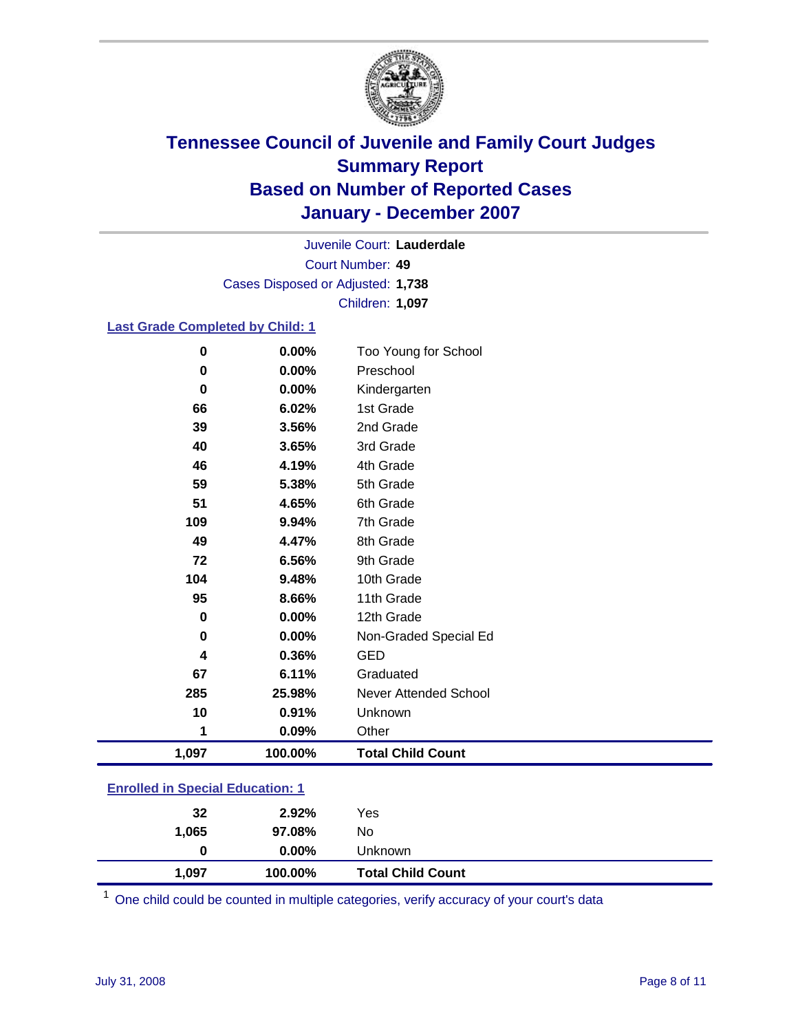

Court Number: **49** Juvenile Court: **Lauderdale** Cases Disposed or Adjusted: **1,738** Children: **1,097**

#### **Last Grade Completed by Child: 1**

| 0        | 0.00%   | Too Young for School     |
|----------|---------|--------------------------|
| 0        | 0.00%   | Preschool                |
| $\bf{0}$ | 0.00%   | Kindergarten             |
| 66       | 6.02%   | 1st Grade                |
| 39       | 3.56%   | 2nd Grade                |
| 40       | 3.65%   | 3rd Grade                |
| 46       | 4.19%   | 4th Grade                |
| 59       | 5.38%   | 5th Grade                |
| 51       | 4.65%   | 6th Grade                |
| 109      | 9.94%   | 7th Grade                |
| 49       | 4.47%   | 8th Grade                |
| 72       | 6.56%   | 9th Grade                |
| 104      | 9.48%   | 10th Grade               |
| 95       | 8.66%   | 11th Grade               |
| 0        | 0.00%   | 12th Grade               |
| $\bf{0}$ | 0.00%   | Non-Graded Special Ed    |
| 4        | 0.36%   | <b>GED</b>               |
| 67       | 6.11%   | Graduated                |
| 285      | 25.98%  | Never Attended School    |
| 10       | 0.91%   | Unknown                  |
| 1        | 0.09%   | Other                    |
| 1,097    | 100.00% | <b>Total Child Count</b> |

### **Enrolled in Special Education: 1**

| 32    | 2.92%    | Yes                      |
|-------|----------|--------------------------|
| 1,065 | 97.08%   | No                       |
| 0     | $0.00\%$ | Unknown                  |
| 1,097 | 100.00%  | <b>Total Child Count</b> |

<sup>1</sup> One child could be counted in multiple categories, verify accuracy of your court's data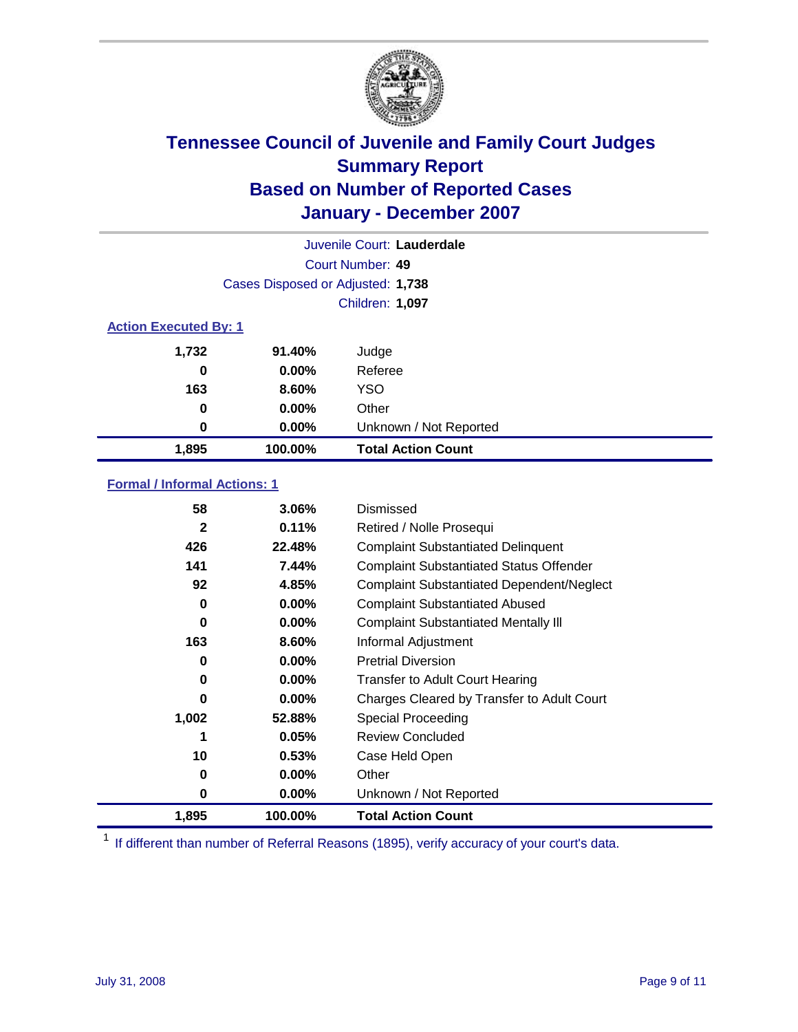

|                              |                                   | Juvenile Court: Lauderdale |
|------------------------------|-----------------------------------|----------------------------|
|                              |                                   | Court Number: 49           |
|                              | Cases Disposed or Adjusted: 1,738 |                            |
|                              |                                   | Children: 1,097            |
| <b>Action Executed By: 1</b> |                                   |                            |
| 1,732                        | 91.40%                            | Judge                      |
| 0                            | $0.00\%$                          | Referee                    |
| 163                          | 8.60%                             | <b>YSO</b>                 |
| 0                            | 0.00%                             | Other                      |
| $\bf{0}$                     | $0.00\%$                          | Unknown / Not Reported     |
| 1,895                        | 100.00%                           | <b>Total Action Count</b>  |

### **Formal / Informal Actions: 1**

| 58           | 3.06%    | Dismissed                                        |
|--------------|----------|--------------------------------------------------|
| $\mathbf{2}$ | 0.11%    | Retired / Nolle Prosequi                         |
| 426          | 22.48%   | <b>Complaint Substantiated Delinquent</b>        |
| 141          | 7.44%    | <b>Complaint Substantiated Status Offender</b>   |
| 92           | 4.85%    | <b>Complaint Substantiated Dependent/Neglect</b> |
| 0            | $0.00\%$ | <b>Complaint Substantiated Abused</b>            |
| 0            | $0.00\%$ | <b>Complaint Substantiated Mentally III</b>      |
| 163          | 8.60%    | Informal Adjustment                              |
| 0            | $0.00\%$ | <b>Pretrial Diversion</b>                        |
| 0            | $0.00\%$ | <b>Transfer to Adult Court Hearing</b>           |
| 0            | $0.00\%$ | Charges Cleared by Transfer to Adult Court       |
| 1,002        | 52.88%   | Special Proceeding                               |
|              | 0.05%    | <b>Review Concluded</b>                          |
| 10           | 0.53%    | Case Held Open                                   |
| 0            | $0.00\%$ | Other                                            |
| 0            | $0.00\%$ | Unknown / Not Reported                           |
| 1,895        | 100.00%  | <b>Total Action Count</b>                        |

<sup>1</sup> If different than number of Referral Reasons (1895), verify accuracy of your court's data.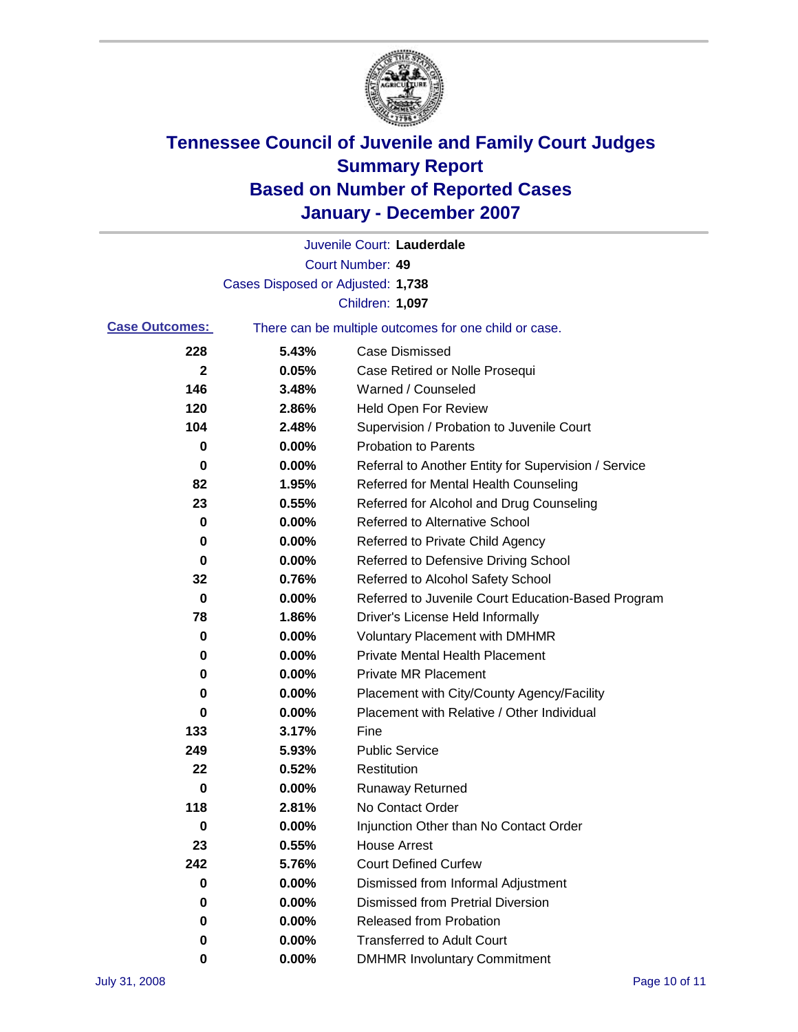

|                       |                                   | Juvenile Court: Lauderdale                            |
|-----------------------|-----------------------------------|-------------------------------------------------------|
|                       |                                   | Court Number: 49                                      |
|                       | Cases Disposed or Adjusted: 1,738 |                                                       |
|                       |                                   | Children: 1,097                                       |
| <b>Case Outcomes:</b> |                                   | There can be multiple outcomes for one child or case. |
| 228                   | 5.43%                             | <b>Case Dismissed</b>                                 |
| $\mathbf{2}$          | 0.05%                             | Case Retired or Nolle Prosequi                        |
| 146                   | 3.48%                             | Warned / Counseled                                    |
| 120                   | 2.86%                             | <b>Held Open For Review</b>                           |
| 104                   | 2.48%                             | Supervision / Probation to Juvenile Court             |
| 0                     | 0.00%                             | <b>Probation to Parents</b>                           |
| 0                     | 0.00%                             | Referral to Another Entity for Supervision / Service  |
| 82                    | 1.95%                             | Referred for Mental Health Counseling                 |
| 23                    | 0.55%                             | Referred for Alcohol and Drug Counseling              |
| 0                     | 0.00%                             | <b>Referred to Alternative School</b>                 |
| 0                     | 0.00%                             | Referred to Private Child Agency                      |
| 0                     | 0.00%                             | Referred to Defensive Driving School                  |
| 32                    | 0.76%                             | Referred to Alcohol Safety School                     |
| 0                     | 0.00%                             | Referred to Juvenile Court Education-Based Program    |
| 78                    | 1.86%                             | Driver's License Held Informally                      |
| 0                     | 0.00%                             | <b>Voluntary Placement with DMHMR</b>                 |
| 0                     | 0.00%                             | <b>Private Mental Health Placement</b>                |
| 0                     | 0.00%                             | <b>Private MR Placement</b>                           |
| 0                     | 0.00%                             | Placement with City/County Agency/Facility            |
| 0                     | 0.00%                             | Placement with Relative / Other Individual            |
| 133                   | 3.17%                             | Fine                                                  |
| 249                   | 5.93%                             | <b>Public Service</b>                                 |
| 22                    | 0.52%                             | Restitution                                           |
| 0                     | 0.00%                             | <b>Runaway Returned</b>                               |
| 118                   | 2.81%                             | No Contact Order                                      |
| 0                     | 0.00%                             | Injunction Other than No Contact Order                |
| 23                    | 0.55%                             | <b>House Arrest</b>                                   |
| 242                   | 5.76%                             | <b>Court Defined Curfew</b>                           |
| 0                     | 0.00%                             | Dismissed from Informal Adjustment                    |
| 0                     | 0.00%                             | <b>Dismissed from Pretrial Diversion</b>              |
| 0                     | 0.00%                             | <b>Released from Probation</b>                        |
| 0                     | 0.00%                             | <b>Transferred to Adult Court</b>                     |
| 0                     | $0.00\%$                          | <b>DMHMR Involuntary Commitment</b>                   |